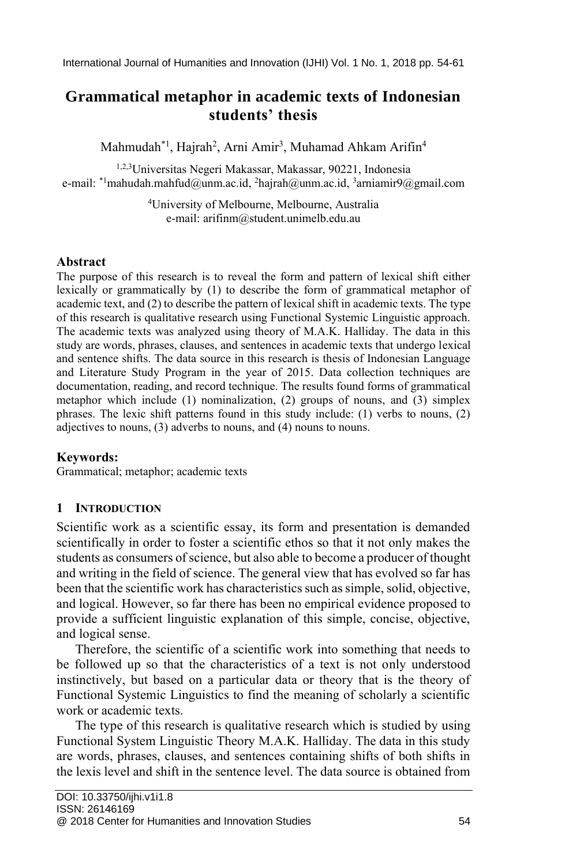# **Grammatical metaphor in academic texts of Indonesian students' thesis**

Mahmudah\*1, Hajrah<sup>2</sup>, Arni Amir<sup>3</sup>, Muhamad Ahkam Arifin<sup>4</sup>

1,2,3Universitas Negeri Makassar, Makassar, 90221, Indonesia e-mail:  $^{\ast_{1}}$ mahudah.mahfud@unm.ac.id, <sup>2</sup>hajrah@unm.ac.id, <sup>3</sup>arniamir9@gmail.com

> <sup>4</sup>University of Melbourne, Melbourne, Australia e-mail: arifinm@student.unimelb.edu.au

### **Abstract**

The purpose of this research is to reveal the form and pattern of lexical shift either lexically or grammatically by (1) to describe the form of grammatical metaphor of academic text, and (2) to describe the pattern of lexical shift in academic texts. The type of this research is qualitative research using Functional Systemic Linguistic approach. The academic texts was analyzed using theory of M.A.K. Halliday. The data in this study are words, phrases, clauses, and sentences in academic texts that undergo lexical and sentence shifts. The data source in this research is thesis of Indonesian Language and Literature Study Program in the year of 2015. Data collection techniques are documentation, reading, and record technique. The results found forms of grammatical metaphor which include (1) nominalization, (2) groups of nouns, and (3) simplex phrases. The lexic shift patterns found in this study include: (1) verbs to nouns, (2) adjectives to nouns, (3) adverbs to nouns, and (4) nouns to nouns.

### **Keywords:**

Grammatical; metaphor; academic texts

## **1 INTRODUCTION**

Scientific work as a scientific essay, its form and presentation is demanded scientifically in order to foster a scientific ethos so that it not only makes the students as consumers of science, but also able to become a producer of thought and writing in the field of science. The general view that has evolved so far has been that the scientific work has characteristics such as simple, solid, objective, and logical. However, so far there has been no empirical evidence proposed to provide a sufficient linguistic explanation of this simple, concise, objective, and logical sense.

Therefore, the scientific of a scientific work into something that needs to be followed up so that the characteristics of a text is not only understood instinctively, but based on a particular data or theory that is the theory of Functional Systemic Linguistics to find the meaning of scholarly a scientific work or academic texts.

The type of this research is qualitative research which is studied by using Functional System Linguistic Theory M.A.K. Halliday. The data in this study are words, phrases, clauses, and sentences containing shifts of both shifts in the lexis level and shift in the sentence level. The data source is obtained from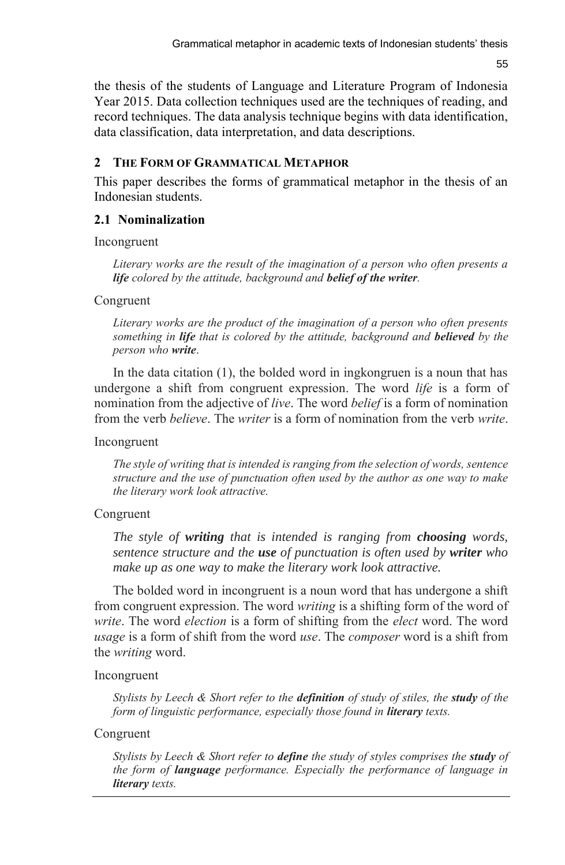55

the thesis of the students of Language and Literature Program of Indonesia Year 2015. Data collection techniques used are the techniques of reading, and record techniques. The data analysis technique begins with data identification, data classification, data interpretation, and data descriptions.

## **2 THE FORM OF GRAMMATICAL METAPHOR**

This paper describes the forms of grammatical metaphor in the thesis of an Indonesian students.

## **2.1 Nominalization**

Incongruent

*Literary works are the result of the imagination of a person who often presents a life colored by the attitude, background and belief of the writer.*

Congruent

*Literary works are the product of the imagination of a person who often presents something in life that is colored by the attitude, background and believed by the person who write*.

In the data citation (1), the bolded word in ingkongruen is a noun that has undergone a shift from congruent expression. The word *life* is a form of nomination from the adjective of *live*. The word *belief* is a form of nomination from the verb *believe*. The *writer* is a form of nomination from the verb *write*.

Incongruent

*The style of writing that is intended is ranging from the selection of words, sentence structure and the use of punctuation often used by the author as one way to make the literary work look attractive.*

## Congruent

*The style of writing that is intended is ranging from choosing words, sentence structure and the use of punctuation is often used by writer who make up as one way to make the literary work look attractive.*

The bolded word in incongruent is a noun word that has undergone a shift from congruent expression. The word *writing* is a shifting form of the word of *write*. The word *election* is a form of shifting from the *elect* word. The word *usage* is a form of shift from the word *use*. The *composer* word is a shift from the *writing* word.

## Incongruent

*Stylists by Leech & Short refer to the definition of study of stiles, the study of the form of linguistic performance, especially those found in literary texts.*

## Congruent

*Stylists by Leech & Short refer to define the study of styles comprises the study of the form of language performance. Especially the performance of language in literary texts.*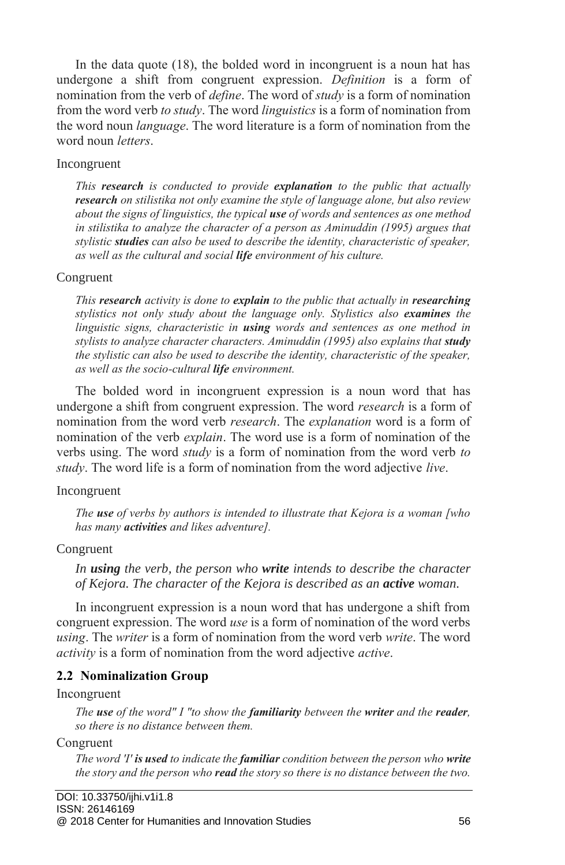In the data quote (18), the bolded word in incongruent is a noun hat has undergone a shift from congruent expression. *Definition* is a form of nomination from the verb of *define*. The word of *study* is a form of nomination from the word verb *to study*. The word *linguistics* is a form of nomination from the word noun *language*. The word literature is a form of nomination from the word noun *letters*.

### Incongruent

*This research is conducted to provide explanation to the public that actually research on stilistika not only examine the style of language alone, but also review about the signs of linguistics, the typical use of words and sentences as one method in stilistika to analyze the character of a person as Aminuddin (1995) argues that stylistic studies can also be used to describe the identity, characteristic of speaker, as well as the cultural and social life environment of his culture.*

### Congruent

*This research activity is done to explain to the public that actually in researching stylistics not only study about the language only. Stylistics also examines the linguistic signs, characteristic in using words and sentences as one method in stylists to analyze character characters. Aminuddin (1995) also explains that study the stylistic can also be used to describe the identity, characteristic of the speaker, as well as the socio-cultural life environment.* 

The bolded word in incongruent expression is a noun word that has undergone a shift from congruent expression. The word *research* is a form of nomination from the word verb *research*. The *explanation* word is a form of nomination of the verb *explain*. The word use is a form of nomination of the verbs using. The word *study* is a form of nomination from the word verb *to study*. The word life is a form of nomination from the word adjective *live*.

### Incongruent

*The use of verbs by authors is intended to illustrate that Kejora is a woman [who has many activities and likes adventure].*

### Congruent

*In using the verb, the person who write intends to describe the character of Kejora. The character of the Kejora is described as an active woman.*

In incongruent expression is a noun word that has undergone a shift from congruent expression. The word *use* is a form of nomination of the word verbs *using*. The *writer* is a form of nomination from the word verb *write*. The word *activity* is a form of nomination from the word adjective *active*.

## **2.2 Nominalization Group**

#### Incongruent

*The use of the word" I "to show the familiarity between the writer and the reader, so there is no distance between them.*

Congruent

*The word 'I' is used to indicate the familiar condition between the person who write the story and the person who read the story so there is no distance between the two.*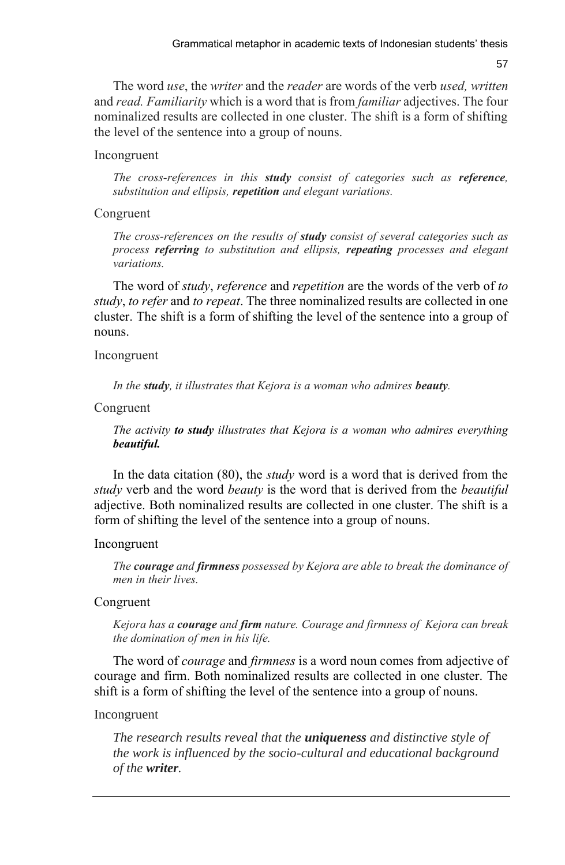57

The word *use*, the *writer* and the *reader* are words of the verb *used, written* and *read. Familiarity* which is a word that is from *familiar* adjectives. The four nominalized results are collected in one cluster. The shift is a form of shifting the level of the sentence into a group of nouns.

#### Incongruent

*The cross-references in this study consist of categories such as reference, substitution and ellipsis, repetition and elegant variations.*

#### Congruent

*The cross-references on the results of study consist of several categories such as process referring to substitution and ellipsis, repeating processes and elegant variations.*

The word of *study*, *reference* and *repetition* are the words of the verb of *to study*, *to refer* and *to repeat*. The three nominalized results are collected in one cluster. The shift is a form of shifting the level of the sentence into a group of nouns.

#### Incongruent

*In the study, it illustrates that Kejora is a woman who admires beauty.*

Congruent

*The activity to study illustrates that Kejora is a woman who admires everything beautiful.*

In the data citation (80), the *study* word is a word that is derived from the *study* verb and the word *beauty* is the word that is derived from the *beautiful*  adjective. Both nominalized results are collected in one cluster. The shift is a form of shifting the level of the sentence into a group of nouns.

#### Incongruent

*The courage and firmness possessed by Kejora are able to break the dominance of men in their lives.*

### Congruent

*Kejora has a courage and firm nature. Courage and firmness of Kejora can break the domination of men in his life.* 

The word of *courage* and *firmness* is a word noun comes from adjective of courage and firm. Both nominalized results are collected in one cluster. The shift is a form of shifting the level of the sentence into a group of nouns.

#### Incongruent

*The research results reveal that the uniqueness and distinctive style of the work is influenced by the socio-cultural and educational background of the writer.*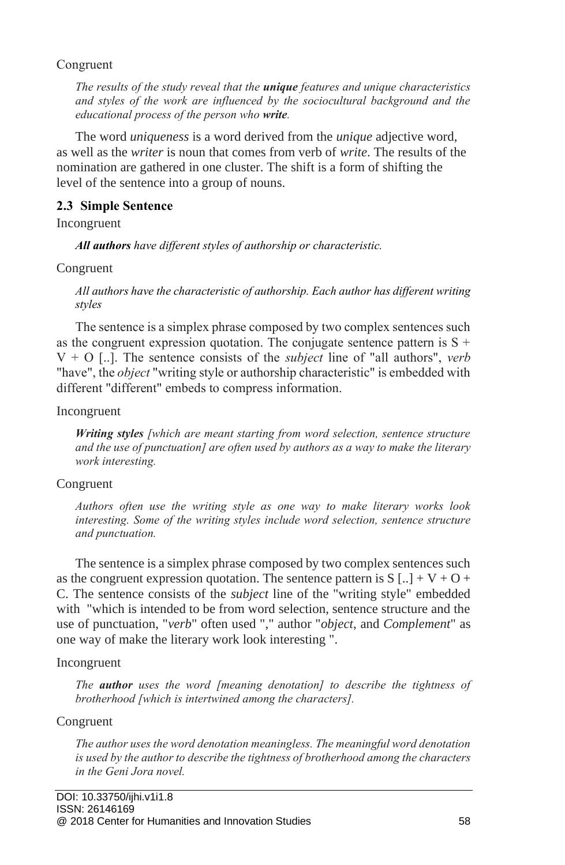### Congruent

*The results of the study reveal that the unique features and unique characteristics and styles of the work are influenced by the sociocultural background and the educational process of the person who write.*

The word *uniqueness* is a word derived from the *unique* adjective word, as well as the *writer* is noun that comes from verb of *write*. The results of the nomination are gathered in one cluster. The shift is a form of shifting the level of the sentence into a group of nouns.

## **2.3 Simple Sentence**

Incongruent

*All authors have different styles of authorship or characteristic.*

Congruent

*All authors have the characteristic of authorship. Each author has different writing styles*

The sentence is a simplex phrase composed by two complex sentences such as the congruent expression quotation. The conjugate sentence pattern is  $S +$ V + O [..]. The sentence consists of the *subject* line of "all authors", *verb* "have", the *object* "writing style or authorship characteristic" is embedded with different "different" embeds to compress information.

Incongruent

*Writing styles [which are meant starting from word selection, sentence structure and the use of punctuation] are often used by authors as a way to make the literary work interesting.*

## Congruent

*Authors often use the writing style as one way to make literary works look interesting. Some of the writing styles include word selection, sentence structure and punctuation.*

The sentence is a simplex phrase composed by two complex sentences such as the congruent expression quotation. The sentence pattern is  $S[\cdot] + V + O +$ C. The sentence consists of the *subject* line of the "writing style" embedded with "which is intended to be from word selection, sentence structure and the use of punctuation, "*verb*" often used "," author "*object*, and *Complement*" as one way of make the literary work look interesting ".

## Incongruent

*The author uses the word [meaning denotation] to describe the tightness of brotherhood [which is intertwined among the characters].*

## Congruent

*The author uses the word denotation meaningless. The meaningful word denotation is used by the author to describe the tightness of brotherhood among the characters in the Geni Jora novel.*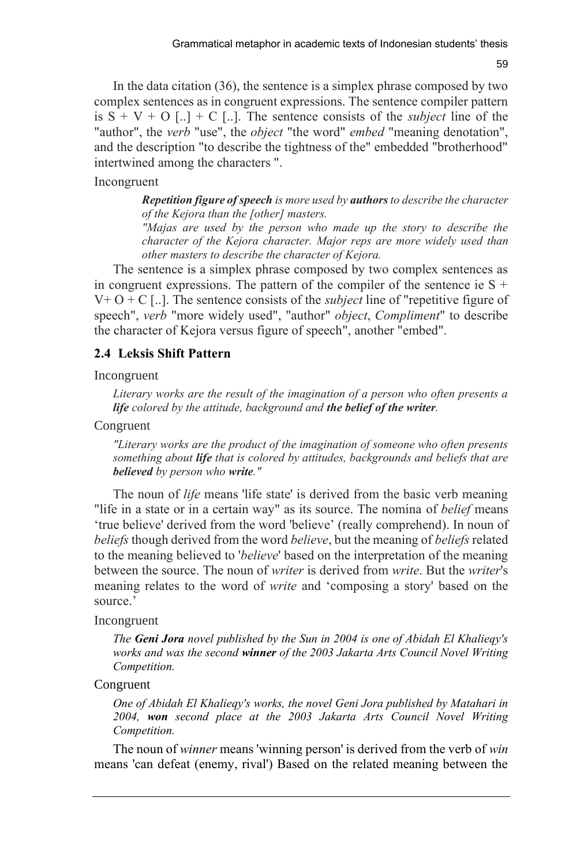59

In the data citation (36), the sentence is a simplex phrase composed by two complex sentences as in congruent expressions. The sentence compiler pattern is  $S + V + O$  [...] + C [...]. The sentence consists of the *subject* line of the "author", the *verb* "use", the *object* "the word" *embed* "meaning denotation", and the description "to describe the tightness of the" embedded "brotherhood" intertwined among the characters ".

### Incongruent

*Repetition figure of speech is more used by authors to describe the character of the Kejora than the [other] masters.*

*"Majas are used by the person who made up the story to describe the character of the Kejora character. Major reps are more widely used than other masters to describe the character of Kejora.*

The sentence is a simplex phrase composed by two complex sentences as in congruent expressions. The pattern of the compiler of the sentence ie  $S +$  $V+O+C$  [...]. The sentence consists of the *subject* line of "repetitive figure of speech", *verb* "more widely used", "author" *object*, *Compliment*" to describe the character of Kejora versus figure of speech", another "embed".

### **2.4 Leksis Shift Pattern**

#### Incongruent

*Literary works are the result of the imagination of a person who often presents a life colored by the attitude, background and the belief of the writer.*

#### Congruent

*"Literary works are the product of the imagination of someone who often presents something about life that is colored by attitudes, backgrounds and beliefs that are believed by person who write."*

The noun of *life* means 'life state' is derived from the basic verb meaning "life in a state or in a certain way" as its source. The nomina of *belief* means 'true believe' derived from the word 'believe' (really comprehend). In noun of *beliefs* though derived from the word *believe*, but the meaning of *beliefs* related to the meaning believed to '*believe*' based on the interpretation of the meaning between the source. The noun of *writer* is derived from *write*. But the *writer*'s meaning relates to the word of *write* and 'composing a story' based on the source.'

#### Incongruent

*The Geni Jora novel published by the Sun in 2004 is one of Abidah El Khalieqy's works and was the second winner of the 2003 Jakarta Arts Council Novel Writing Competition.*

#### Congruent

*One of Abidah El Khalieqy's works, the novel Geni Jora published by Matahari in 2004, won second place at the 2003 Jakarta Arts Council Novel Writing Competition.*

The noun of *winner* means 'winning person' is derived from the verb of *win* means 'can defeat (enemy, rival') Based on the related meaning between the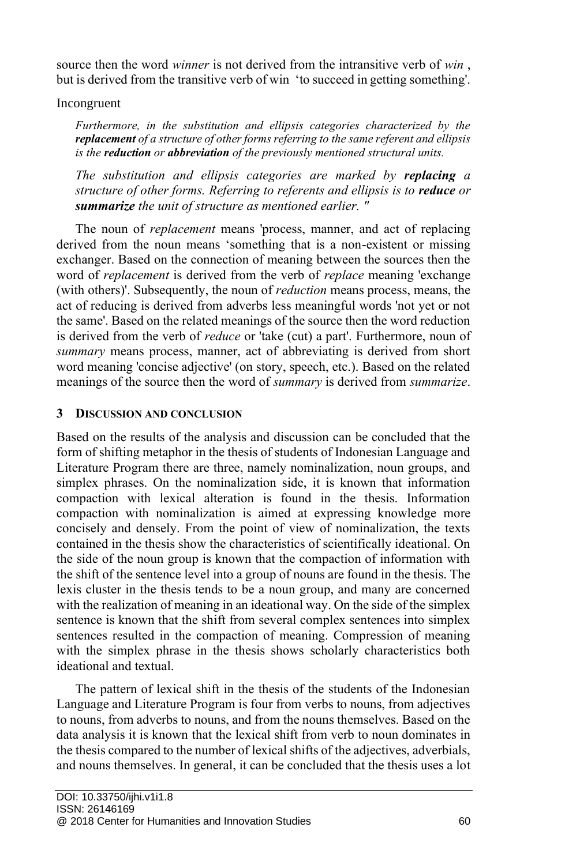source then the word *winner* is not derived from the intransitive verb of *win* , but is derived from the transitive verb of win 'to succeed in getting something'.

### Incongruent

*Furthermore, in the substitution and ellipsis categories characterized by the replacement of a structure of other forms referring to the same referent and ellipsis is the reduction or abbreviation of the previously mentioned structural units.*

*The substitution and ellipsis categories are marked by replacing a structure of other forms. Referring to referents and ellipsis is to reduce or summarize the unit of structure as mentioned earlier. "*

The noun of *replacement* means 'process, manner, and act of replacing derived from the noun means 'something that is a non-existent or missing exchanger. Based on the connection of meaning between the sources then the word of *replacement* is derived from the verb of *replace* meaning 'exchange (with others)'. Subsequently, the noun of *reduction* means process, means, the act of reducing is derived from adverbs less meaningful words 'not yet or not the same'. Based on the related meanings of the source then the word reduction is derived from the verb of *reduce* or 'take (cut) a part'. Furthermore, noun of *summary* means process, manner, act of abbreviating is derived from short word meaning 'concise adjective' (on story, speech, etc.). Based on the related meanings of the source then the word of *summary* is derived from *summarize*.

## **3 DISCUSSION AND CONCLUSION**

Based on the results of the analysis and discussion can be concluded that the form of shifting metaphor in the thesis of students of Indonesian Language and Literature Program there are three, namely nominalization, noun groups, and simplex phrases. On the nominalization side, it is known that information compaction with lexical alteration is found in the thesis. Information compaction with nominalization is aimed at expressing knowledge more concisely and densely. From the point of view of nominalization, the texts contained in the thesis show the characteristics of scientifically ideational. On the side of the noun group is known that the compaction of information with the shift of the sentence level into a group of nouns are found in the thesis. The lexis cluster in the thesis tends to be a noun group, and many are concerned with the realization of meaning in an ideational way. On the side of the simplex sentence is known that the shift from several complex sentences into simplex sentences resulted in the compaction of meaning. Compression of meaning with the simplex phrase in the thesis shows scholarly characteristics both ideational and textual.

The pattern of lexical shift in the thesis of the students of the Indonesian Language and Literature Program is four from verbs to nouns, from adjectives to nouns, from adverbs to nouns, and from the nouns themselves. Based on the data analysis it is known that the lexical shift from verb to noun dominates in the thesis compared to the number of lexical shifts of the adjectives, adverbials, and nouns themselves. In general, it can be concluded that the thesis uses a lot